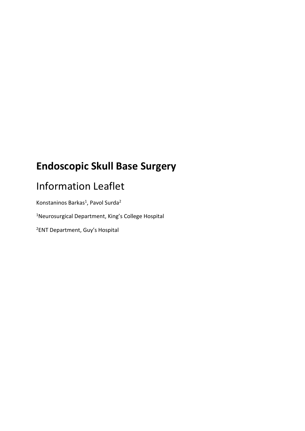# **Endoscopic Skull Base Surgery**

# Information Leaflet

Konstaninos Barkas<sup>1</sup>, Pavol Surda<sup>2</sup>

<sup>1</sup>Neurosurgical Department, King's College Hospital

2ENT Department, Guy's Hospital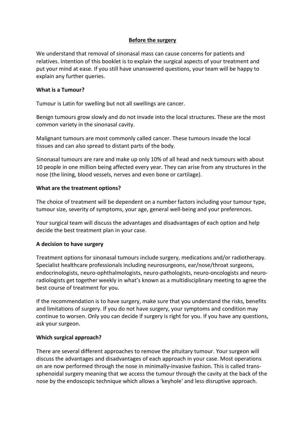#### **Before the surgery**

We understand that removal of sinonasal mass can cause concerns for patients and relatives. Intention of this booklet is to explain the surgical aspects of your treatment and put your mind at ease. If you still have unanswered questions, your team will be happy to explain any further queries.

#### **What is a Tumour?**

Tumour is Latin for swelling but not all swellings are cancer.

Benign tumours grow slowly and do not invade into the local structures. These are the most common variety in the sinonasal cavity.

Malignant tumours are most commonly called cancer. These tumours invade the local tissues and can also spread to distant parts of the body.

Sinonasal tumours are rare and make up only 10% of all head and neck tumours with about 10 people in one million being affected every year. They can arise from any structures in the nose (the lining, blood vessels, nerves and even bone or cartilage).

#### **What are the treatment options?**

The choice of treatment will be dependent on a number factors including your tumour type, tumour size, severity of symptoms, your age, general well-being and your preferences.

Your surgical team will discuss the advantages and disadvantages of each option and help decide the best treatment plan in your case.

## **A decision to have surgery**

Treatment options for sinonasal tumours include surgery, medications and/or radiotherapy. Specialist healthcare professionals including neurosurgeons, ear/nose/throat surgeons, endocrinologists, neuro-ophthalmologists, neuro-pathologists, neuro-oncologists and neuroradiologists get together weekly in what's known as a multidisciplinary meeting to agree the best course of treatment for you.

If the recommendation is to have surgery, make sure that you understand the risks, benefits and limitations of surgery. If you do not have surgery, your symptoms and condition may continue to worsen. Only you can decide if surgery is right for you. If you have any questions, ask your surgeon.

#### **Which surgical approach?**

There are several different approaches to remove the pituitary tumour. Your surgeon will discuss the advantages and disadvantages of each approach in your case. Most operations on are now performed through the nose in minimally-invasive fashion. This is called transsphenoidal surgery meaning that we access the tumour through the cavity at the back of the nose by the endoscopic technique which allows a 'keyhole' and less disruptive approach.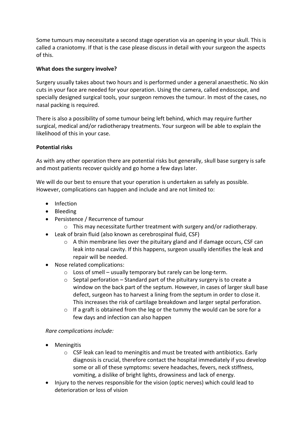Some tumours may necessitate a second stage operation via an opening in your skull. This is called a craniotomy. If that is the case please discuss in detail with your surgeon the aspects of this.

## **What does the surgery involve?**

Surgery usually takes about two hours and is performed under a general anaesthetic. No skin cuts in your face are needed for your operation. Using the camera, called endoscope, and specially designed surgical tools, your surgeon removes the tumour. In most of the cases, no nasal packing is required.

There is also a possibility of some tumour being left behind, which may require further surgical, medical and/or radiotherapy treatments. Your surgeon will be able to explain the likelihood of this in your case.

## **Potential risks**

As with any other operation there are potential risks but generally, skull base surgery is safe and most patients recover quickly and go home a few days later.

We will do our best to ensure that your operation is undertaken as safely as possible. However, complications can happen and include and are not limited to:

- Infection
- Bleeding
- Persistence / Recurrence of tumour
	- o This may necessitate further treatment with surgery and/or radiotherapy.
- Leak of brain fluid (also known as cerebrospinal fluid, CSF)
	- $\circ$  A thin membrane lies over the pituitary gland and if damage occurs, CSF can leak into nasal cavity. If this happens, surgeon usually identifies the leak and repair will be needed.
- Nose related complications:
	- $\circ$  Loss of smell usually temporary but rarely can be long-term.
	- $\circ$  Septal perforation Standard part of the pituitary surgery is to create a window on the back part of the septum. However, in cases of larger skull base defect, surgeon has to harvest a lining from the septum in order to close it. This increases the risk of cartilage breakdown and larger septal perforation.
	- $\circ$  If a graft is obtained from the leg or the tummy the would can be sore for a few days and infection can also happen

# *Rare complications include:*

- **•** Meningitis
	- $\circ$  CSF leak can lead to meningitis and must be treated with antibiotics. Early diagnosis is crucial, therefore contact the hospital immediately if you develop some or all of these symptoms: severe headaches, fevers, neck stiffness, vomiting, a dislike of bright lights, drowsiness and lack of energy.
- Injury to the nerves responsible for the vision (optic nerves) which could lead to deterioration or loss of vision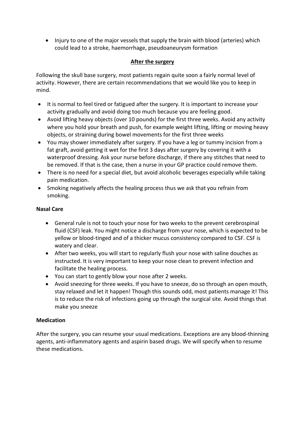• Injury to one of the major vessels that supply the brain with blood (arteries) which could lead to a stroke, haemorrhage, pseudoaneurysm formation

## **After the surgery**

Following the skull base surgery, most patients regain quite soon a fairly normal level of activity. However, there are certain recommendations that we would like you to keep in mind.

- It is normal to feel tired or fatigued after the surgery. It is important to increase your activity gradually and avoid doing too much because you are feeling good.
- Avoid lifting heavy objects (over 10 pounds) for the first three weeks. Avoid any activity where you hold your breath and push, for example weight lifting, lifting or moving heavy objects, or straining during bowel movements for the first three weeks
- You may shower immediately after surgery. If you have a leg or tummy incision from a fat graft, avoid getting it wet for the first 3 days after surgery by covering it with a waterproof dressing. Ask your nurse before discharge, if there any stitches that need to be removed. If that is the case, then a nurse in your GP practice could remove them.
- There is no need for a special diet, but avoid alcoholic beverages especially while taking pain medication.
- Smoking negatively affects the healing process thus we ask that you refrain from smoking.

## **Nasal Care**

- General rule is not to touch your nose for two weeks to the prevent cerebrospinal fluid (CSF) leak. You might notice a discharge from your nose, which is expected to be yellow or blood-tinged and of a thicker mucus consistency compared to CSF. CSF is watery and clear.
- After two weeks, you will start to regularly flush your nose with saline douches as instructed. It is very important to keep your nose clean to prevent infection and facilitate the healing process.
- You can start to gently blow your nose after 2 weeks.
- Avoid sneezing for three weeks. If you have to sneeze, do so through an open mouth, stay relaxed and let it happen! Though this sounds odd, most patients manage it! This is to reduce the risk of infections going up through the surgical site. Avoid things that make you sneeze

## **Medication**

After the surgery, you can resume your usual medications. Exceptions are any blood-thinning agents, anti-inflammatory agents and aspirin based drugs. We will specify when to resume these medications.